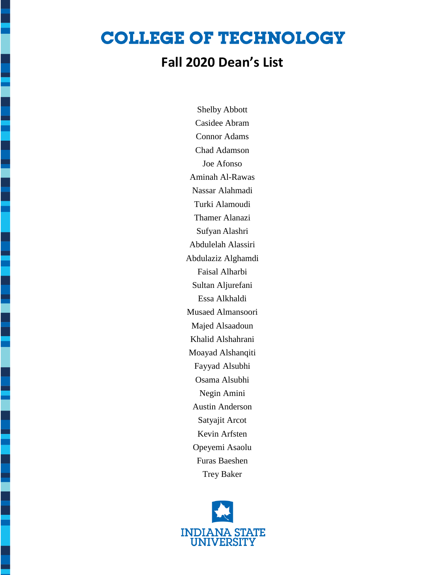i.

I

Ė

i

li di provincia di concerta di concerta di concerta di concerta di concerta di concerta di concerta di concerta di concerta di concerta di concerta di concerta di concerta di concerta di concerta di concerta di concerta di

i

ׇ֘֒֕֜֡

### **Fall 2020 Dean's List**

Shelby Abbott Casidee Abram Connor Adams Chad Adamson Joe Afonso Aminah Al-Rawas Nassar Alahmadi Turki Alamoudi Thamer Alanazi Sufyan Alashri Abdulelah Alassiri Abdulaziz Alghamdi Faisal Alharbi Sultan Aljurefani Essa Alkhaldi Musaed Almansoori Majed Alsaadoun Khalid Alshahrani Moayad Alshanqiti Fayyad Alsubhi Osama Alsubhi Negin Amini Austin Anderson Satyajit Arcot Kevin Arfsten Opeyemi Asaolu Furas Baeshen Trey Baker

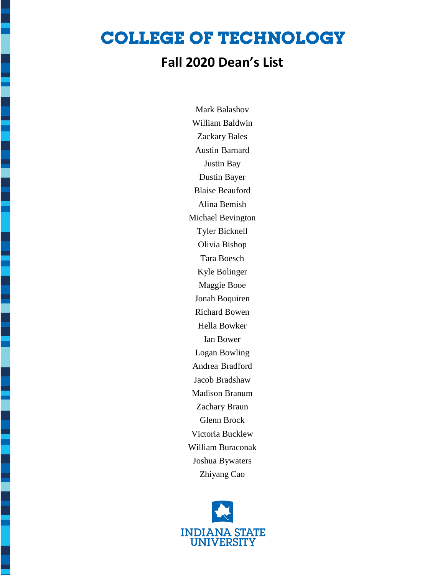E

Ī

l

i

i

ׇ֚֚֬

i

### **Fall 2020 Dean's List**

Mark Balashov William Baldwin Zackary Bales Austin Barnard Justin Bay Dustin Bayer Blaise Beauford Alina Bemish Michael Bevington Tyler Bicknell Olivia Bishop Tara Boesch Kyle Bolinger Maggie Booe Jonah Boquiren Richard Bowen Hella Bowker Ian Bower Logan Bowling Andrea Bradford Jacob Bradshaw Madison Branum Zachary Braun Glenn Brock Victoria Bucklew William Buraconak Joshua Bywaters Zhiyang Cao

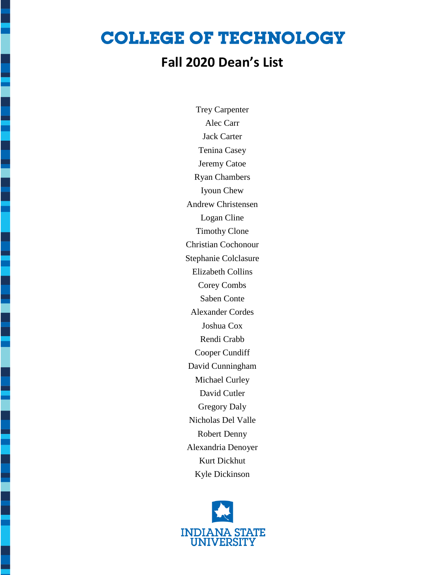i.

li di provincia di concerta di concerta di concerta di concerta di concerta di concerta di concerta di concerta di concerta di concerta di concerta di concerta di concerta di concerta di concerta di concerta di concerta di

İ

### **Fall 2020 Dean's List**

Trey Carpenter Alec Carr Jack Carter Tenina Casey Jeremy Catoe Ryan Chambers Iyoun Chew Andrew Christensen Logan Cline Timothy Clone Christian Cochonour Stephanie Colclasure Elizabeth Collins Corey Combs Saben Conte Alexander Cordes Joshua Cox Rendi Crabb Cooper Cundiff David Cunningham Michael Curley David Cutler Gregory Daly Nicholas Del Valle Robert Denny Alexandria Denoyer Kurt Dickhut Kyle Dickinson

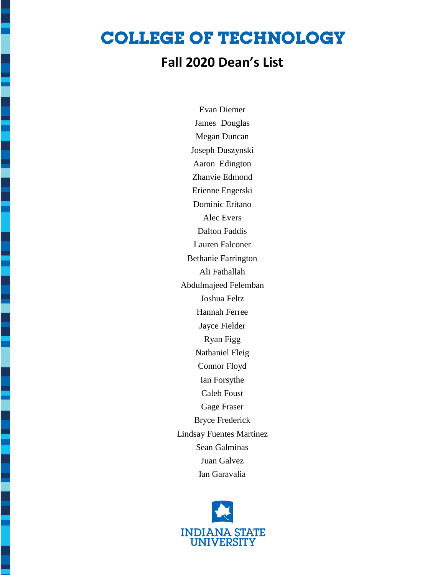ı

֖֖֖֚֚֚֚֚֚֬

l

i

ż

֖֖֖֖֖֖֚֚֚֚֚֚֚֚֚֚֬

ׇ֖֚֚֬֕

֖֖֖֖֖֖֖֧ׅ֖֖ׅ֖ׅ֖֧ׅ֖֧֖֧֚֚֚֚֚֚֚֚֚֚֚֚֚֚֚֚֚֚֬֝֝֝֓֡֓֡֞֝֬֝֓֝֬֓֡֓֬֝֓֝֓֞֝֬

l

֖֖֖֖֖֖֖֖֖֖֧֧֖֖֧֧֧֖֖֧֚֚֚֚֚֚֚֚֚֚֚֚֚֚֚֚֚֚֚֚֚֚֚֚֚֚֚֚֚֬֝֓֝֓֝֓֞֝֬֝

### **Fall 2020 Dean's List**

Evan Diemer James Douglas Megan Duncan Joseph Duszynski Aaron Edington Zhanvie Edmond Erienne Engerski Dominic Eritano Alec Evers Dalton Faddis Lauren Falconer Bethanie Farrington Ali Fathallah Abdulmajeed Felemban Joshua Feltz Hannah Ferree Jayce Fielder Ryan Figg Nathaniel Fleig Connor Floyd Ian Forsythe Caleb Foust Gage Fraser Bryce Frederick Lindsay Fuentes Martinez Sean Galminas Juan Galvez Ian Garavalia

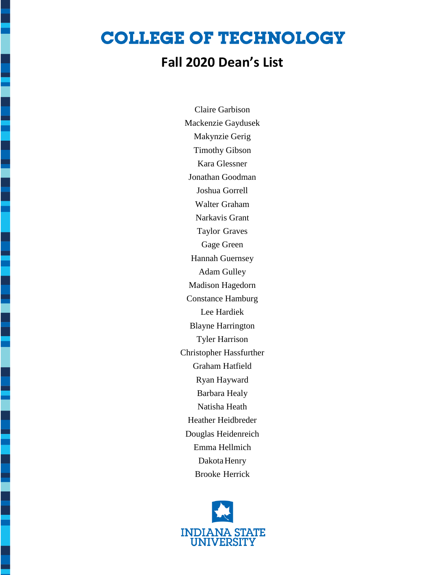t

֖֖֖֖֖֧ׅ֧֧֧֪֪֪֪֪֪֪֪֪֧֪ׅ֧֚֚֚֚֚֚֚֚֚֚֚֚֚֚֚֚֚֚֚֚֚֚֚֬֝֓֡֬֓֡֓֬֓֡֓֬֓֡֓֬֓֡֓֬֓֓֡֬֓֓֡֬֓֞֬֓֝֓֞֝֬

֖֖֖֖֖֖֖֖֖֧ׅ֖ׅ֖֖֧֧֖֧֧ׅׅ֖֚֚֚֚֚֚֚֚֚֚֚֚֚֚֚֚֚֚֚֬֝֝֓֞֝֓֝֓֝֬֓֡֬֓֡֬֓֞

i

ż

֖֖֖֖֚֚֚֚֚֚֬

ׇׇ֖֖֖֚֚֚֚֬

-<br>-

#### **Fall 2020 Dean's List**

Claire Garbison Mackenzie Gaydusek Makynzie Gerig Timothy Gibson Kara Glessner Jonathan Goodman Joshua Gorrell Walter Graham Narkavis Grant Taylor Graves Gage Green Hannah Guernsey Adam Gulley Madison Hagedorn Constance Hamburg Lee Hardiek Blayne Harrington Tyler Harrison Christopher Hassfurther Graham Hatfield Ryan Hayward Barbara Healy Natisha Heath Heather Heidbreder Douglas Heidenreich Emma Hellmich Dakota Henry Brooke Herrick

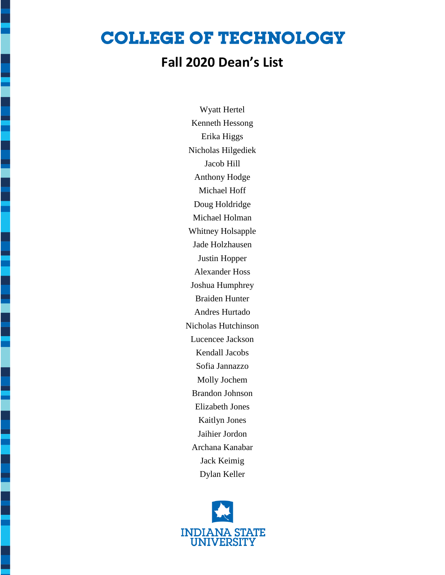E

֖֖֖֖֖֖֖֧ׅ֖ׅ֖֧֧֧֚֚֚֚֚֚֚֚֚֚֚֚֚֚֚֚֚֚֚֚֚֚֬֝֝֓֡֓֡֬֓֡֓֡֬֓֡֓֡֬֓֡֓֡֬֓֞֞֡֡֓֬֝֓֞֞֝֬

֖֖֖֖֖֖֖֖֖֖֖֖֖֖֖ׅ֖֖֖֖֖֖֖֖֖֖֖֖֖֧֚֚֚֚֚֚֚֚֚֚֚֚֚֚֚֚֚֚֚֚֚֚֚֚֚֚֚֚֚֚֚֚֬֝

i

ׇ֚֬֕֓֡֡֡֡֡

İ

### **Fall 2020 Dean's List**

Wyatt Hertel Kenneth Hessong Erika Higgs Nicholas Hilgediek Jacob Hill Anthony Hodge Michael Hoff Doug Holdridge Michael Holman Whitney Holsapple Jade Holzhausen Justin Hopper Alexander Hoss Joshua Humphrey Braiden Hunter Andres Hurtado Nicholas Hutchinson Lucencee Jackson Kendall Jacobs Sofia Jannazzo Molly Jochem Brandon Johnson Elizabeth Jones Kaitlyn Jones Jaihier Jordon Archana Kanabar Jack Keimig Dylan Keller

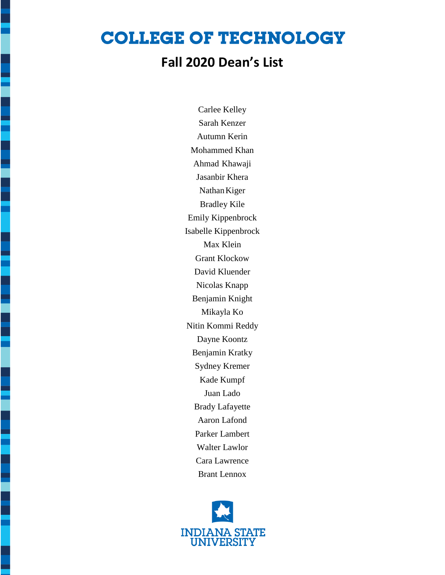E

֖֖֖֖֖֖֧ׅ֖֚֚֚֚֚֚֚֚֚֚֚֚֚֚֚֬֝֓֕֓֡֓֡֬֓֡֓֡֬֓֓֡֬֓֓֡֬֓֓֡֬֓֓֡֬֓֓֡֬֓֓֞֬

֖֖֖֖֖֖֖֖֖֖֖֖֖֖֖ׅ֖֖֖֖֖֖֖֖֖֖֖֖֖֧֚֚֚֚֚֚֚֚֚֚֚֚֚֚֚֚֚֚֚֚֚֚֚֚֚֚֚֚֚֚֚֚֬֝

i

ż

İ

ׇ֖֚֚֬֕

-<br>-

### **Fall 2020 Dean's List**

Carlee Kelley Sarah Kenzer Autumn Kerin Mohammed Khan Ahmad Khawaji Jasanbir Khera Nathan Kiger Bradley Kile Emily Kippenbrock Isabelle Kippenbrock Max Klein Grant Klockow David Kluender Nicolas Knapp Benjamin Knight Mikayla Ko Nitin Kommi Reddy Dayne Koontz Benjamin Kratky Sydney Kremer Kade Kumpf Juan Lado Brady Lafayette Aaron Lafond Parker Lambert Walter Lawlor Cara Lawrence Brant Lennox

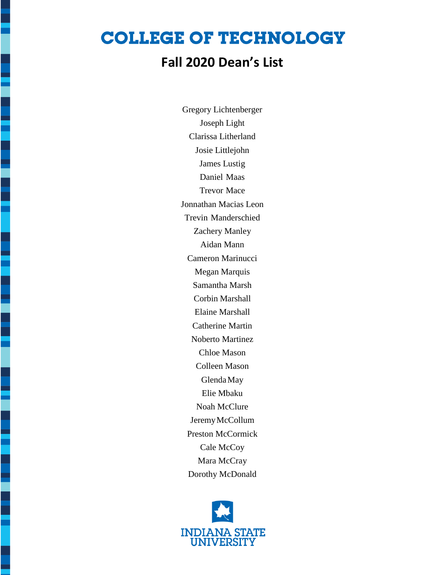t

֖֖֖֖֖֖֖֖֖֖֖֖֖֖֖ׅ֖֖֖֖֖֖֖֖֖֖֖֖֖֧֚֚֚֚֚֚֚֚֚֚֚֚֚֚֚֚֚֚֚֚֚֚֚֚֚֚֚֚֚֚֚֚֬֝

i

j

ׇ֖֚֚֬֕

-<br>-

### **Fall 2020 Dean's List**

Gregory Lichtenberger Joseph Light Clarissa Litherland Josie Littlejohn James Lustig Daniel Maas Trevor Mace Jonnathan Macias Leon Trevin Manderschied Zachery Manley Aidan Mann Cameron Marinucci Megan Marquis Samantha Marsh Corbin Marshall Elaine Marshall Catherine Martin Noberto Martinez Chloe Mason Colleen Mason GlendaMay Elie Mbaku Noah McClure JeremyMcCollum Preston McCormick Cale McCoy Mara McCray Dorothy McDonald

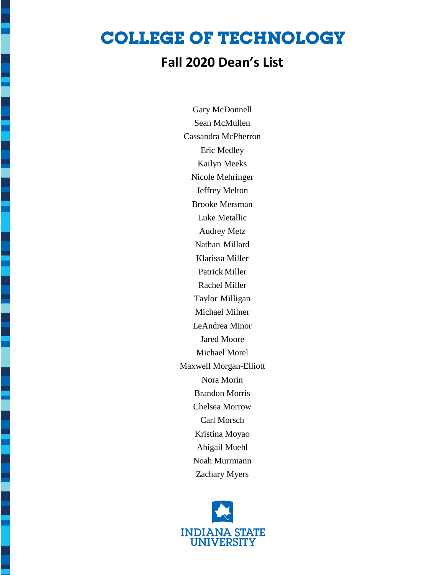E

֖֖֖֖֖֖֧ׅ֖ׅ֖֧֧֪֪ׅ֧֪֪֪֪֪֧֧֧֖֧֧֧֧֧֧֧֧֧֧֧֧֧֧֧֧֧֧֧֧֚֚֚֚֚֚֚֚֚֚֚֚֚֚֚֚֚֚֚֚֚֚֬֝֝֓֬֓֡֓֬֓֡֓֬֓֡֓֬֓֡֓֬֓֡֬֓֞֓֓֞֝֬

i

i

ׇ֖֚֚֬֕

į

### **Fall 2020 Dean's List**

Gary McDonnell Sean McMullen Cassandra McPherron Eric Medley Kailyn Meeks Nicole Mehringer Jeffrey Melton Brooke Mersman Luke Metallic Audrey Metz Nathan Millard Klarissa Miller Patrick Miller Rachel Miller Taylor Milligan Michael Milner LeAndrea Minor Jared Moore Michael Morel Maxwell Morgan-Elliott Nora Morin Brandon Morris Chelsea Morrow Carl Morsch Kristina Moyao Abigail Muehl Noah Murrmann Zachary Myers

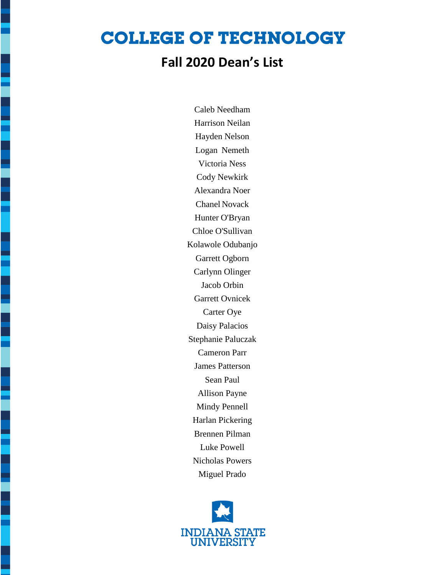E

Ī

ì

i

i

ׇ֚֚֬

#### **Fall 2020 Dean's List**

Caleb Needham Harrison Neilan Hayden Nelson Logan Nemeth Victoria Ness Cody Newkirk Alexandra Noer Chanel Novack Hunter O'Bryan Chloe O'Sullivan Kolawole Odubanjo Garrett Ogborn Carlynn Olinger Jacob Orbin Garrett Ovnicek Carter Oye Daisy Palacios Stephanie Paluczak Cameron Parr James Patterson Sean Paul Allison Payne Mindy Pennell Harlan Pickering Brennen Pilman Luke Powell Nicholas Powers Miguel Prado

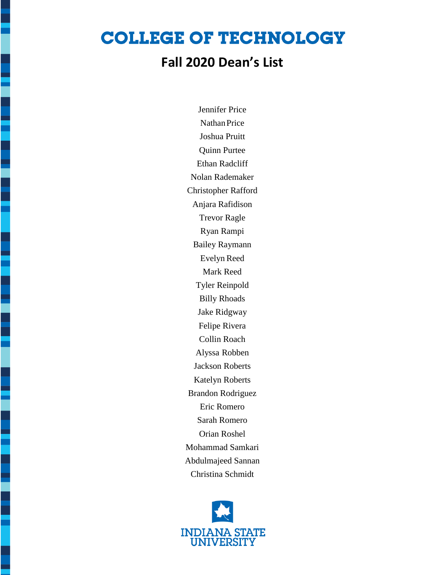E

֖֖֖֖֖֖֧ׅ֖֧ׅ֖֚֚֚֚֚֚֚֚֚֚֚֚֚֚֚֚֚֚֚֚֚֚֚֚֬֝֝֓֡֓֡֬֓֡֓֬֓֡֬֓֡֓֬֝֓֡֬֓֞֞

i

֖֖֖֖֖֖֚֚֚֚֚֚֚֚֚֬

i

ׇ֚֚֬

i

#### **Fall 2020 Dean's List**

Jennifer Price NathanPrice Joshua Pruitt Quinn Purtee Ethan Radcliff Nolan Rademaker Christopher Rafford Anjara Rafidison Trevor Ragle Ryan Rampi Bailey Raymann Evelyn Reed Mark Reed Tyler Reinpold Billy Rhoads Jake Ridgway Felipe Rivera Collin Roach Alyssa Robben Jackson Roberts Katelyn Roberts Brandon Rodriguez Eric Romero Sarah Romero Orian Roshel Mohammad Samkari Abdulmajeed Sannan Christina Schmidt

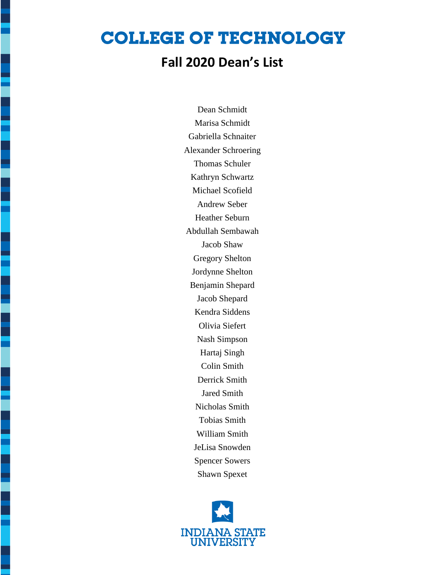E

İ

i

i

li di provincia di concerta di concerta di concerta di concerta di concerta di concerta di concerta di concerta di concerta di concerta di concerta di concerta di concerta di concerta di concerta di concerta di concerta di

i

i

#### **Fall 2020 Dean's List**

Dean Schmidt Marisa Schmidt Gabriella Schnaiter Alexander Schroering Thomas Schuler Kathryn Schwartz Michael Scofield Andrew Seber Heather Seburn Abdullah Sembawah Jacob Shaw Gregory Shelton Jordynne Shelton Benjamin Shepard Jacob Shepard Kendra Siddens Olivia Siefert Nash Simpson Hartaj Singh Colin Smith Derrick Smith Jared Smith Nicholas Smith Tobias Smith William Smith JeLisa Snowden Spencer Sowers Shawn Spexet

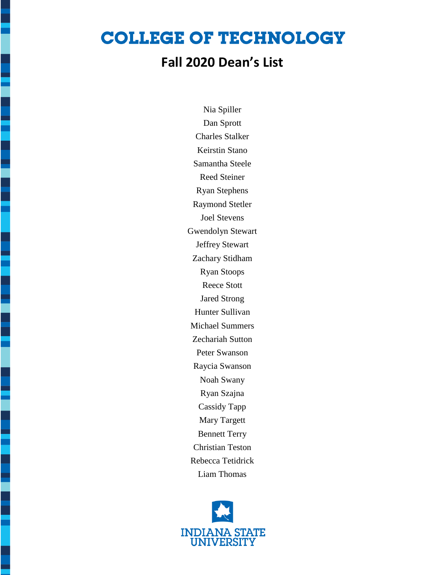E

֖֖֖֖֖֖֧ׅ֖֧ׅ֖֚֚֚֚֚֚֚֚֚֚֚֚֚֚֚֚֚֚֚֚֚֚֚֚֬֝֝֓֡֓֡֬֓֡֓֬֓֡֬֓֡֓֬֝֓֡֬֓֞֞

i

i

l

### **Fall 2020 Dean's List**

Nia Spiller Dan Sprott Charles Stalker Keirstin Stano Samantha Steele Reed Steiner Ryan Stephens Raymond Stetler Joel Stevens Gwendolyn Stewart Jeffrey Stewart Zachary Stidham Ryan Stoops Reece Stott Jared Strong Hunter Sullivan Michael Summers Zechariah Sutton Peter Swanson Raycia Swanson Noah Swany Ryan Szajna Cassidy Tapp Mary Targett Bennett Terry Christian Teston Rebecca Tetidrick Liam Thomas

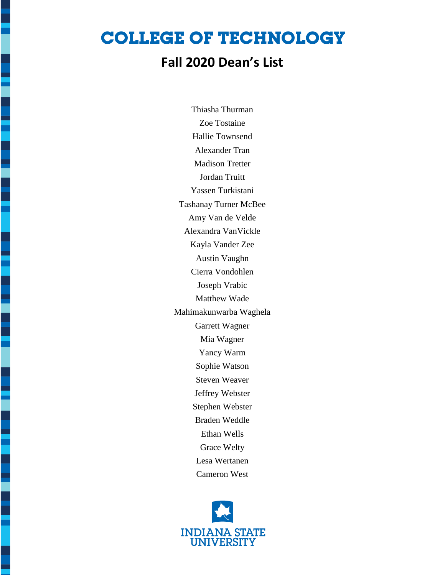E

֖֖֖֖֖֧ׅ֧֪֧֪֪֪֪֪֧֚֚֚֚֚֚֚֚֚֚֚֚֚֚֚֚֚֚֚֚֚֚֬֝֓֡֬֓֡֓֬֓֡֓֬֓֡֓֬֓֡֬֓֓֞֓֡֬֓֓֡֬֓֞֬֓֞֓֞֝֬֓֞֝֬

֖֖֖֖֖֖֖֖֖֖֖֖֖֖֖ׅ֖֖֖֖֖֖֖֖֖֖֖֖֖֧֚֚֚֚֚֚֚֚֚֚֚֚֚֚֚֚֚֚֚֚֚֚֚֚֚֚֚֚֚֚֚֚֬֝

l

ׇ֚֚֬

#### **Fall 2020 Dean's List**

Thiasha Thurman Zoe Tostaine Hallie Townsend Alexander Tran Madison Tretter Jordan Truitt Yassen Turkistani Tashanay Turner McBee Amy Van de Velde Alexandra VanVickle Kayla Vander Zee Austin Vaughn Cierra Vondohlen Joseph Vrabic Matthew Wade Mahimakunwarba Waghela Garrett Wagner Mia Wagner Yancy Warm Sophie Watson Steven Weaver Jeffrey Webster Stephen Webster Braden Weddle Ethan Wells Grace Welty Lesa Wertanen Cameron West